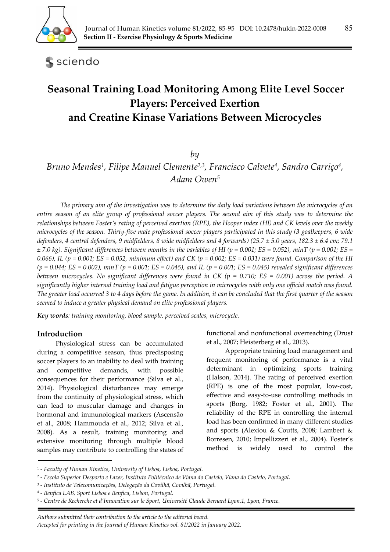

sciendo

# **Seasonal Training Load Monitoring Among Elite Level Soccer Players: Perceived Exertion and Creatine Kinase Variations Between Microcycles**

# *by*

*Bruno Mendes1, Filipe Manuel Clemente2,3, Francisco Calvete4, Sandro Carriço4, Adam Owen5*

*The primary aim of the investigation was to determine the daily load variations between the microcycles of an entire season of an elite group of professional soccer players. The second aim of this study was to determine the relationships between Foster's rating of perceived exertion (RPE), the Hooper index (HI) and CK levels over the weekly microcycles of the season. Thirty-five male professional soccer players participated in this study (3 goalkeepers, 6 wide defenders, 4 central defenders, 9 midfielders, 8 wide midfielders and 4 forwards) (25.7 ± 5.0 years, 182.3 ± 6.4 cm; 79.1*   $\pm$  7.0 kg). Significant differences between months in the variables of HI (p = 0.001; ES = 0.052), minT (p = 0.001; ES = *0.066), IL (p = 0.001; ES = 0.052, minimum effect) and CK (p = 0.002; ES = 0.031) were found. Comparison of the HI (p = 0.044; ES = 0.002), minT (p = 0.001; ES = 0.045), and IL (p = 0.001; ES = 0.045) revealed significant differences between microcycles. No significant differences were found in CK (p = 0.710; ES = 0.001) across the period. A significantly higher internal training load and fatigue perception in microcycles with only one official match was found. The greater load occurred 3 to 4 days before the game. In addition, it can be concluded that the first quarter of the season seemed to induce a greater physical demand on elite professional players.* 

*Key words: training monitoring, blood sample, perceived scales, microcycle.* 

### **Introduction**

Physiological stress can be accumulated during a competitive season, thus predisposing soccer players to an inability to deal with training and competitive demands, with possible consequences for their performance (Silva et al., 2014). Physiological disturbances may emerge from the continuity of physiological stress, which can lead to muscular damage and changes in hormonal and immunological markers (Ascensão et al., 2008; Hammouda et al., 2012; Silva et al., 2008). As a result, training monitoring and extensive monitoring through multiple blood samples may contribute to controlling the states of

functional and nonfunctional overreaching (Drust et al., 2007; Heisterberg et al., 2013).

Appropriate training load management and frequent monitoring of performance is a vital determinant in optimizing sports training (Halson, 2014). The rating of perceived exertion (RPE) is one of the most popular, low-cost, effective and easy-to-use controlling methods in sports (Borg, 1982; Foster et al., 2001). The reliability of the RPE in controlling the internal load has been confirmed in many different studies and sports (Alexiou & Coutts, 2008; Lambert & Borresen, 2010; Impellizzeri et al., 2004). Foster's method is widely used to control the

*Authors submitted their contribution to the article to the editorial board.* 

*Accepted for printing in the Journal of Human Kinetics vol. 81/2022 in January 2022.* 

<sup>1 -</sup> *Faculty of Human Kinetics, University of Lisboa, Lisboa, Portugal.* 

<sup>2 -</sup> *Escola Superior Desporto e Lazer, Instituto Politécnico de Viana do Castelo, Viana do Castelo, Portugal.* 

<sup>3 -</sup> *Instituto de Telecomunicações, Delegação da Covilhã, Covilhã, Portugal.* 

<sup>4 -</sup> *Benfica LAB, Sport Lisboa e Benfica, Lisbon, Portugal.* 

<sup>5 -</sup> *Centre de Recherche et d'Innovation sur le Sport, Université Claude Bernard Lyon.1, Lyon, France.*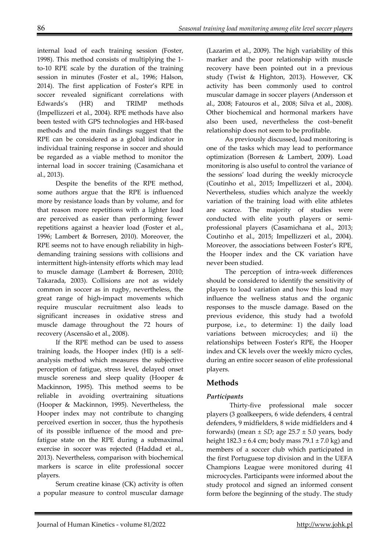internal load of each training session (Foster, 1998). This method consists of multiplying the 1 to-10 RPE scale by the duration of the training session in minutes (Foster et al., 1996; Halson, 2014). The first application of Foster's RPE in soccer revealed significant correlations with Edwards's (HR) and TRIMP methods (Impellizzeri et al., 2004). RPE methods have also been tested with GPS technologies and HR-based methods and the main findings suggest that the RPE can be considered as a global indicator in individual training response in soccer and should be regarded as a viable method to monitor the internal load in soccer training (Casamichana et al., 2013).

Despite the benefits of the RPE method, some authors argue that the RPE is influenced more by resistance loads than by volume, and for that reason more repetitions with a lighter load are perceived as easier than performing fewer repetitions against a heavier load (Foster et al., 1996; Lambert & Borresen, 2010). Moreover, the RPE seems not to have enough reliability in highdemanding training sessions with collisions and intermittent high-intensity efforts which may lead to muscle damage (Lambert & Borresen, 2010; Takarada, 2003). Collisions are not as widely common in soccer as in rugby, nevertheless, the great range of high-impact movements which require muscular recruitment also leads to significant increases in oxidative stress and muscle damage throughout the 72 hours of recovery (Ascensão et al., 2008).

If the RPE method can be used to assess training loads, the Hooper index (HI) is a selfanalysis method which measures the subjective perception of fatigue, stress level, delayed onset muscle soreness and sleep quality (Hooper & Mackinnon, 1995). This method seems to be reliable in avoiding overtraining situations (Hooper & Mackinnon, 1995). Nevertheless, the Hooper index may not contribute to changing perceived exertion in soccer, thus the hypothesis of its possible influence of the mood and prefatigue state on the RPE during a submaximal exercise in soccer was rejected (Haddad et al., 2013). Nevertheless, comparison with biochemical markers is scarce in elite professional soccer players.

Serum creatine kinase (CK) activity is often a popular measure to control muscular damage (Lazarim et al., 2009). The high variability of this marker and the poor relationship with muscle recovery have been pointed out in a previous study (Twist & Highton, 2013). However, CK activity has been commonly used to control muscular damage in soccer players (Andersson et al., 2008; Fatouros et al., 2008; Silva et al., 2008). Other biochemical and hormonal markers have also been used, nevertheless the cost–benefit relationship does not seem to be profitable.

As previously discussed, load monitoring is one of the tasks which may lead to performance optimization (Borresen & Lambert, 2009). Load monitoring is also useful to control the variance of the sessions' load during the weekly microcycle (Coutinho et al., 2015; Impellizzeri et al., 2004). Nevertheless, studies which analyze the weekly variation of the training load with elite athletes are scarce. The majority of studies were conducted with elite youth players or semiprofessional players (Casamichana et al., 2013; Coutinho et al., 2015; Impellizzeri et al., 2004). Moreover, the associations between Foster's RPE, the Hooper index and the CK variation have never been studied.

The perception of intra-week differences should be considered to identify the sensitivity of players to load variation and how this load may influence the wellness status and the organic responses to the muscle damage. Based on the previous evidence, this study had a twofold purpose, i.e., to determine: 1) the daily load variations between microcycles; and ii) the relationships between Foster's RPE, the Hooper index and CK levels over the weekly micro cycles, during an entire soccer season of elite professional players.

# **Methods**

### *Participants*

Thirty-five professional male soccer players (3 goalkeepers, 6 wide defenders, 4 central defenders, 9 midfielders, 8 wide midfielders and 4 forwards) (mean  $\pm$  *SD*; age 25.7  $\pm$  5.0 years, body height  $182.3 \pm 6.4$  cm; body mass  $79.1 \pm 7.0$  kg) and members of a soccer club which participated in the first Portuguese top division and in the UEFA Champions League were monitored during 41 microcycles. Participants were informed about the study protocol and signed an informed consent form before the beginning of the study. The study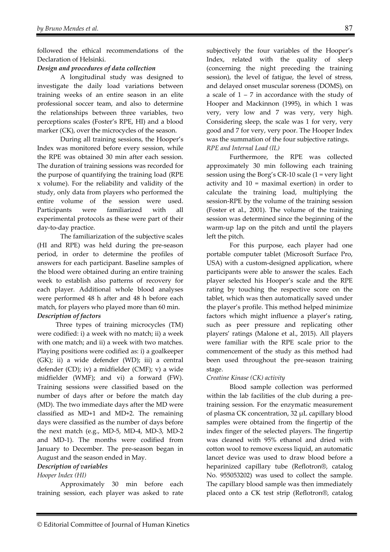followed the ethical recommendations of the Declaration of Helsinki.

### *Design and procedures of data collection*

A longitudinal study was designed to investigate the daily load variations between training weeks of an entire season in an elite professional soccer team, and also to determine the relationships between three variables, two perceptions scales (Foster's RPE, HI) and a blood marker (CK), over the microcycles of the season.

During all training sessions, the Hooper's Index was monitored before every session, while the RPE was obtained 30 min after each session. The duration of training sessions was recorded for the purpose of quantifying the training load (RPE x volume). For the reliability and validity of the study, only data from players who performed the entire volume of the session were used. Participants were familiarized with all experimental protocols as these were part of their day-to-day practice.

 The familiarization of the subjective scales (HI and RPE) was held during the pre-season period, in order to determine the profiles of answers for each participant. Baseline samples of the blood were obtained during an entire training week to establish also patterns of recovery for each player. Additional whole blood analyses were performed 48 h after and 48 h before each match, for players who played more than 60 min. *Description of factors* 

Three types of training microcycles (TM) were codified: i) a week with no match; ii) a week with one match; and ii) a week with two matches. Playing positions were codified as: i) a goalkeeper (GK); ii) a wide defender (WD); iii) a central defender (CD); iv) a midfielder (CMF); v) a wide midfielder (WMF); and vi) a forward (FW). Training sessions were classified based on the number of days after or before the match day (MD). The two immediate days after the MD were classified as MD+1 and MD+2. The remaining days were classified as the number of days before the next match (e.g., MD-5, MD-4, MD-3, MD-2 and MD-1). The months were codified from January to December. The pre-season began in August and the season ended in May.

### *Description of variables*

### *Hooper Index (HI)*

Approximately 30 min before each training session, each player was asked to rate subjectively the four variables of the Hooper's Index, related with the quality of sleep (concerning the night preceding the training session), the level of fatigue, the level of stress, and delayed onset muscular soreness (DOMS), on a scale of  $1 - 7$  in accordance with the study of Hooper and Mackinnon (1995), in which 1 was very, very low and 7 was very, very high. Considering sleep, the scale was 1 for very, very good and 7 for very, very poor. The Hooper Index was the summation of the four subjective ratings. *RPE and Internal Load (IL)* 

Furthermore, the RPE was collected approximately 30 min following each training session using the Borg's CR-10 scale (1 = very light activity and 10 = maximal exertion) in order to calculate the training load, multiplying the session-RPE by the volume of the training session (Foster et al., 2001). The volume of the training session was determined since the beginning of the warm-up lap on the pitch and until the players left the pitch.

For this purpose, each player had one portable computer tablet (Microsoft Surface Pro, USA) with a custom-designed application, where participants were able to answer the scales. Each player selected his Hooper's scale and the RPE rating by touching the respective score on the tablet, which was then automatically saved under the player's profile. This method helped minimize factors which might influence a player's rating, such as peer pressure and replicating other players' ratings (Malone et al., 2015). All players were familiar with the RPE scale prior to the commencement of the study as this method had been used throughout the pre-season training stage.

### *Creatine Kinase (CK) activity*

Blood sample collection was performed within the lab facilities of the club during a pretraining session. For the enzymatic measurement of plasma CK concentration, 32 µL capillary blood samples were obtained from the fingertip of the index finger of the selected players. The fingertip was cleaned with 95% ethanol and dried with cotton wool to remove excess liquid, an automatic lancet device was used to draw blood before a heparinized capillary tube (Reflotron®, catalog No. 955053202) was used to collect the sample. The capillary blood sample was then immediately placed onto a CK test strip (Reflotron®, catalog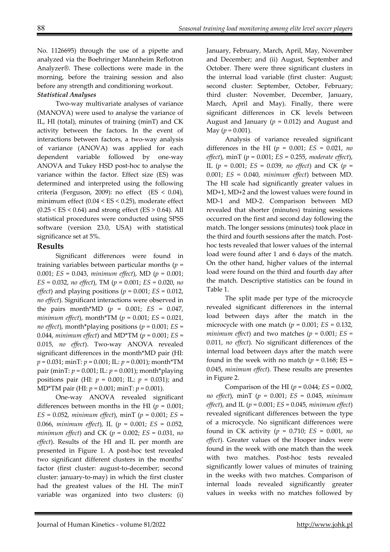No. 1126695) through the use of a pipette and analyzed via the Boehringer Mannheim Reflotron Analyzer®. These collections were made in the morning, before the training session and also before any strength and conditioning workout.

# *Statistical Analyses*

Two-way multivariate analyses of variance (MANOVA) were used to analyse the variance of IL, HI (total), minutes of training (minT) and CK activity between the factors. In the event of interactions between factors, a two-way analysis of variance (ANOVA) was applied for each dependent variable followed by one-way ANOVA and Tukey HSD post-hoc to analyse the variance within the factor. Effect size (ES) was determined and interpreted using the following criteria (Ferguson, 2009): no effect  $(ES < 0.04)$ , minimum effect (0.04 < ES < 0.25), moderate effect  $(0.25 < ES < 0.64)$  and strong effect (ES  $> 0.64$ ). All statistical procedures were conducted using SPSS software (version 23.0, USA) with statistical significance set at 5%.

# **Results**

Significant differences were found in training variables between particular months (*p* = 0.001; *ES* = 0.043, *minimum effect*), MD (*p* = 0.001; *ES* = 0.032, *no effect*), TM (*p* = 0.001; *ES* = 0.020, *no effect*) and playing positions ( $p = 0.001$ ;  $ES = 0.012$ , *no effect*). Significant interactions were observed in the pairs month\*MD ( $p = 0.001$ ; *ES* = 0.047, *minimum effect*), month\*TM (*p* = 0.001; *ES* = 0.021, *no effect*), month\*playing positions (*p* = 0.001; *ES* = 0.044, *minimum effect*) and MD\*TM (*p* = 0.001; *ES* = 0.015, *no effect*). Two-way ANOVA revealed significant differences in the month\*MD pair (HI: *p* = 0.031; minT: *p* = 0.001; IL: *p* = 0.001); month\*TM pair (minT: *p* = 0.001; IL: *p* = 0.001); month\*playing positions pair (HI: *p* = 0.001; IL: *p* = 0.031); and MD\*TM pair (HI: *p* = 0.001; minT: *p* = 0.001).

One-way ANOVA revealed significant differences between months in the HI  $(p = 0.001)$ ; *ES* = 0.052, *minimum effect*), minT (*p* = 0.001; *ES* = 0.066, *minimum effect*), IL (*p* = 0.001; *ES* = 0.052, *minimum effect*) and CK (*p* = 0.002; *ES* = 0.031, *no effect*). Results of the HI and IL per month are presented in Figure 1. A post-hoc test revealed two significant different clusters in the months' factor (first cluster: august-to-december; second cluster: january-to-may) in which the first cluster had the greatest values of the HI. The minT variable was organized into two clusters: (i)

January, February, March, April, May, November and December; and (ii) August, September and October. There were three significant clusters in the internal load variable (first cluster: August; second cluster: September, October, February; third cluster: November, December, January, March, April and May). Finally, there were significant differences in CK levels between August and January  $(p = 0.012)$  and August and May ( $p = 0.001$ ).

Analysis of variance revealed significant differences in the HI (*p* = 0.001; *ES* = 0.021, *no effect*), minT (*p* = 0.001; *ES* = 0.255, *moderate effect*), IL (*p* = 0.001; *ES* = 0.039, *no effect*) and CK (*p* = 0.001; *ES* = 0.040, *minimum effect*) between MD. The HI scale had significantly greater values in MD+1, MD+2 and the lowest values were found in MD-1 and MD-2. Comparison between MD revealed that shorter (minutes) training sessions occurred on the first and second day following the match. The longer sessions (minutes) took place in the third and fourth sessions after the match. Posthoc tests revealed that lower values of the internal load were found after 1 and 6 days of the match. On the other hand, higher values of the internal load were found on the third and fourth day after the match. Descriptive statistics can be found in Table 1.

The split made per type of the microcycle revealed significant differences in the internal load between days after the match in the microcycle with one match  $(p = 0.001; ES = 0.132)$ , *minimum effect*) and two matches ( $p = 0.001$ ;  $ES =$ 0.011, *no effect*). No significant differences of the internal load between days after the match were found in the week with no match ( $p = 0.168$ ; ES = 0.045, *minimum effect*). These results are presentes in Figure 2.

Comparison of the HI (*p* = 0.044; *ES* = 0.002, *no effect*), minT (*p* = 0.001; *ES* = 0.045, *minimum effect*), and IL (*p* = 0.001; *ES* = 0.045, *minimum effect*) revealed significant differences between the type of a microcycle. No significant differences were found in CK activity (*p* = 0.710; *ES* = 0.001, *no effect*). Greater values of the Hooper index were found in the week with one match than the week with two matches. Post-hoc tests revealed significantly lower values of minutes of training in the weeks with two matches. Comparison of internal loads revealed significantly greater values in weeks with no matches followed by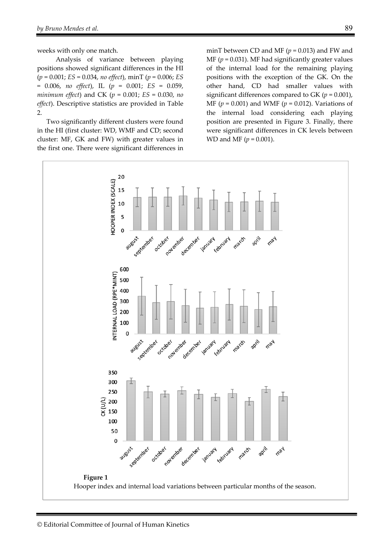weeks with only one match.

Analysis of variance between playing positions showed significant differences in the HI (*p* = 0.001; *ES* = 0.034, *no effect*), minT (*p* = 0.006; *ES* = 0.006, *no effect*), IL (*p* = 0.001; *ES* = 0.059, *minimum effect*) and CK (*p* = 0.001; *ES* = 0.030, *no effect*). Descriptive statistics are provided in Table 2.

Two significantly different clusters were found in the HI (first cluster: WD, WMF and CD; second cluster: MF, GK and FW) with greater values in the first one. There were significant differences in

minT between CD and MF ( $p = 0.013$ ) and FW and MF ( $p = 0.031$ ). MF had significantly greater values of the internal load for the remaining playing positions with the exception of the GK. On the other hand, CD had smaller values with significant differences compared to GK  $(p = 0.001)$ , MF (*p* = 0.001) and WMF (*p* = 0.012). Variations of the internal load considering each playing position are presented in Figure 3. Finally, there were significant differences in CK levels between WD and MF (*p* = 0.001).

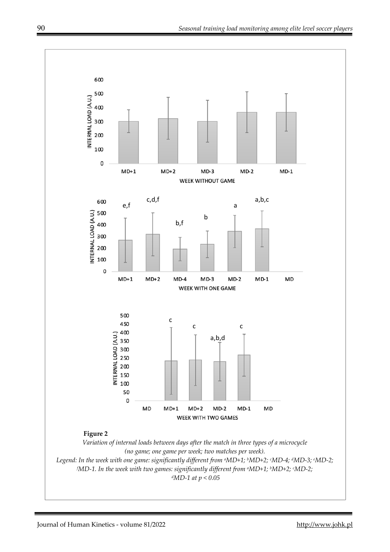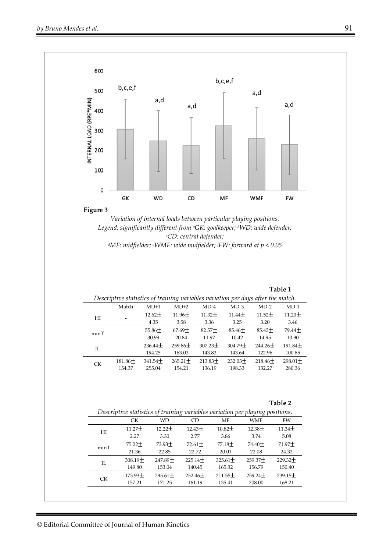

**Figure 3** 

*Variation of internal loads between particular playing positions. Legend: significantly different from aGK: goalkeeper; bWD: wide defender; c CD: central defender; dMF: midfielder; e WMF: wide midfielder; f FW: forward at p < 0.05* 

**Table 1** 

| Descriptive statistics of training variables variation per days after the match. |                          |                      |                        |                      |                      |                     |                      |  |  |
|----------------------------------------------------------------------------------|--------------------------|----------------------|------------------------|----------------------|----------------------|---------------------|----------------------|--|--|
|                                                                                  | Match                    | $MD+1$               | $MD+2$                 | $MD-4$               | $MD-3$               | $MD-2$              | $MD-1$               |  |  |
| HI                                                                               | $\overline{\phantom{0}}$ | $12.62 +$<br>4.35    | $11.96 +$<br>3.58      | $11.32 +$<br>3.36    | $11.44 +$<br>3.25    | $11.52 +$<br>3.20   | $11.20 +$<br>3.46    |  |  |
| minT                                                                             |                          | $55.86 +$<br>30.99   | $67.69+$<br>20.84      | $82.57+$<br>11.97    | $85.46+$<br>10.42    | $85.43+$<br>14.95   | $79.44 +$<br>10.90   |  |  |
| IL                                                                               |                          | $236.44 +$<br>194.25 | $259.86 \pm$<br>163.03 | $307.23 +$<br>143.82 | $304.79 +$<br>143.64 | $244.26+$<br>122.96 | $191.84 +$<br>100.85 |  |  |
| <b>CK</b>                                                                        | $181.86 \pm$<br>154.37   | $341.54 +$<br>255.04 | $265.21 +$<br>154.21   | $213.83+$<br>136.19  | $232.03+$<br>198.33  | $218.46+$<br>132.27 | $298.01 +$<br>280.36 |  |  |
|                                                                                  |                          |                      |                        |                      |                      |                     |                      |  |  |

| ani | 16 |
|-----|----|
|-----|----|

| Descriptive statistics of training variables variation per playing positions. |           |            |             |            |            |           |  |  |  |
|-------------------------------------------------------------------------------|-----------|------------|-------------|------------|------------|-----------|--|--|--|
|                                                                               | GK        | WD         | <b>CD</b>   | MF         | <b>WMF</b> | FW        |  |  |  |
| HI                                                                            | $11.27 +$ | $12.22 +$  | $12.43+$    | $10.82 +$  | $12.38 +$  | $11.34 +$ |  |  |  |
|                                                                               | 2.27      | 3.30       | 277         | 3.86       | 3.74       | 5.08      |  |  |  |
| minT                                                                          | $75.22 +$ | $73.93 +$  | 72.61 $\pm$ | $77.18 +$  | $74.40+$   | $71.97 +$ |  |  |  |
|                                                                               | 21.36     | 22.85      | 22.72       | 20.01      | 22.08      | 24.32     |  |  |  |
| H.                                                                            | $308.19+$ | $247.89+$  | $225.14 +$  | $325.61 +$ | $259.37 +$ | $229.32+$ |  |  |  |
|                                                                               | 149.80    | 153.04     | 140.45      | 165.32     | 156.79     | 150.40    |  |  |  |
| CK.                                                                           | $173.93+$ | $295.61 +$ | $252.46+$   | $211.55+$  | $259.24 +$ | $239.15+$ |  |  |  |
|                                                                               | 157.21    | 171.25     | 161.19      | 135.41     | 208.00     | 168.21    |  |  |  |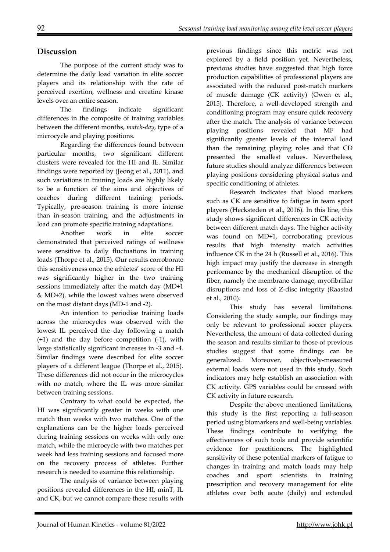## **Discussion**

The purpose of the current study was to determine the daily load variation in elite soccer players and its relationship with the rate of perceived exertion, wellness and creatine kinase levels over an entire season.

The findings indicate significant differences in the composite of training variables between the different months, *match-day*, type of a microcycle and playing positions.

Regarding the differences found between particular months, two significant different clusters were revealed for the HI and IL. Similar findings were reported by (Jeong et al., 2011), and such variations in training loads are highly likely to be a function of the aims and objectives of coaches during different training periods. Typically, pre-season training is more intense than in-season training, and the adjustments in load can promote specific training adaptations.

Another work in elite soccer demonstrated that perceived ratings of wellness were sensitive to daily fluctuations in training loads (Thorpe et al., 2015). Our results corroborate this sensitiveness once the athletes' score of the HI was significantly higher in the two training sessions immediately after the match day (MD+1 & MD+2), while the lowest values were observed on the most distant days (MD-1 and -2).

An intention to periodise training loads across the microcycles was observed with the lowest IL perceived the day following a match (+1) and the day before competition (-1), with large statistically significant increases in -3 and -4. Similar findings were described for elite soccer players of a different league (Thorpe et al., 2015). These differences did not occur in the microcycles with no match, where the IL was more similar between training sessions.

Contrary to what could be expected, the HI was significantly greater in weeks with one match than weeks with two matches. One of the explanations can be the higher loads perceived during training sessions on weeks with only one match, while the microcycle with two matches per week had less training sessions and focused more on the recovery process of athletes. Further research is needed to examine this relationship.

The analysis of variance between playing positions revealed differences in the HI, minT, IL and CK, but we cannot compare these results with previous findings since this metric was not explored by a field position yet. Nevertheless, previous studies have suggested that high force production capabilities of professional players are associated with the reduced post-match markers of muscle damage (CK activity) (Owen et al., 2015). Therefore, a well-developed strength and conditioning program may ensure quick recovery after the match. The analysis of variance between playing positions revealed that MF had significantly greater levels of the internal load than the remaining playing roles and that CD presented the smallest values. Nevertheless, future studies should analyze differences between playing positions considering physical status and specific conditioning of athletes.

Research indicates that blood markers such as CK are sensitive to fatigue in team sport players (Hecksteden et al., 2016). In this line, this study shows significant differences in CK activity between different match days. The higher activity was found on MD+1, corroborating previous results that high intensity match activities influence CK in the 24 h (Russell et al., 2016). This high impact may justify the decrease in strength performance by the mechanical disruption of the fiber, namely the membrane damage, myofibrillar disruptions and loss of Z-disc integrity (Raastad et al., 2010).

This study has several limitations. Considering the study sample, our findings may only be relevant to professional soccer players. Nevertheless, the amount of data collected during the season and results similar to those of previous studies suggest that some findings can be generalized. Moreover, objectively-measured external loads were not used in this study. Such indicators may help establish an association with CK activity. GPS variables could be crossed with CK activity in future research.

Despite the above mentioned limitations, this study is the first reporting a full-season period using biomarkers and well-being variables. These findings contribute to verifying the effectiveness of such tools and provide scientific evidence for practitioners. The highlighted sensitivity of these potential markers of fatigue to changes in training and match loads may help coaches and sport scientists in training prescription and recovery management for elite athletes over both acute (daily) and extended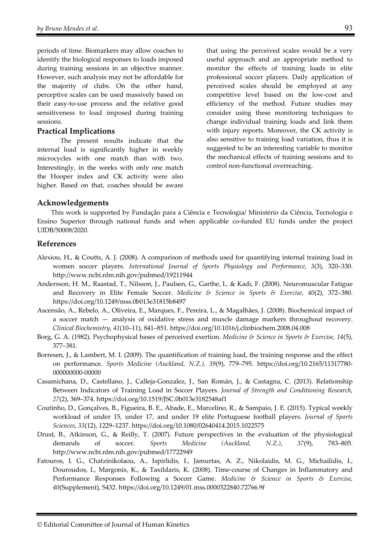periods of time. Biomarkers may allow coaches to identify the biological responses to loads imposed during training sessions in an objective manner. However, such analysis may not be affordable for the majority of clubs. On the other hand, perceptive scales can be used massively based on their easy-to-use process and the relative good sensitiveness to load imposed during training sessions.

### **Practical Implications**

The present results indicate that the internal load is significantly higher in weekly microcycles with one match than with two. Interestingly, in the weeks with only one match the Hooper index and CK activity were also higher. Based on that, coaches should be aware that using the perceived scales would be a very useful approach and an appropriate method to monitor the effects of training loads in elite professional soccer players. Daily application of perceived scales should be employed at any competitive level based on the low-cost and efficiency of the method. Future studies may consider using these monitoring techniques to change individual training loads and link them with injury reports. Moreover, the CK activity is also sensitive to training load variation, thus it is suggested to be an interesting variable to monitor the mechanical effects of training sessions and to control non-functional overreaching.

### **Acknowledgements**

This work is supported by Fundação para a Ciência e Tecnologia/ Ministério da Ciência, Tecnologia e Ensino Superior through national funds and when applicable co-funded EU funds under the project UIDB/50008/2020.

### **References**

- Alexiou, H., & Coutts, A. J. (2008). A comparison of methods used for quantifying internal training load in women soccer players. *International Journal of Sports Physiology and Performance*, *3*(3), 320–330. http://www.ncbi.nlm.nih.gov/pubmed/19211944
- Andersson, H. M., Raastad, T., Nilsson, J., Paulsen, G., Garthe, I., & Kadi, F. (2008). Neuromuscular Fatigue and Recovery in Elite Female Soccer. *Medicine & Science in Sports & Exercise*, *40*(2), 372–380. https://doi.org/10.1249/mss.0b013e31815b8497
- Ascensão, A., Rebelo, A., Oliveira, E., Marques, F., Pereira, L., & Magalhães, J. (2008). Biochemical impact of a soccer match — analysis of oxidative stress and muscle damage markers throughout recovery. *Clinical Biochemistry*, *41*(10–11), 841–851. https://doi.org/10.1016/j.clinbiochem.2008.04.008
- Borg, G. A. (1982). Psychophysical bases of perceived exertion. *Medicine & Science in Sports & Exercise*, *14*(5), 377–381.
- Borresen, J., & Lambert, M. I. (2009). The quantification of training load, the training response and the effect on performance. *Sports Medicine (Auckland, N.Z.)*, *39*(9), 779–795. https://doi.org/10.2165/11317780- 000000000-00000
- Casamichana, D., Castellano, J., Calleja-Gonzalez, J., San Román, J., & Castagna, C. (2013). Relationship Between Indicators of Training Load in Soccer Players. *Journal of Strength and Conditioning Research*, *27*(2), 369–374. https://doi.org/10.1519/JSC.0b013e3182548af1
- Coutinho, D., Gonçalves, B., Figueira, B. E., Abade, E., Marcelino, R., & Sampaio, J. E. (2015). Typical weekly workload of under 15, under 17, and under 19 elite Portuguese football players. *Journal of Sports Sciences*, *33*(12), 1229–1237. https://doi.org/10.1080/02640414.2015.1022575
- Drust, B., Atkinson, G., & Reilly, T. (2007). Future perspectives in the evaluation of the physiological demands of soccer. *Sports Medicine (Auckland, N.Z.)*, *37*(9), 783–805. http://www.ncbi.nlm.nih.gov/pubmed/17722949
- Fatouros, I. G., Chatzinikolaou, A., Ispirlidis, I., Jamurtas, A. Z., Nikolaidis, M. G., Michailidis, I., Douroudos, I., Margonis, K., & Taxildaris, K. (2008). Time-course of Changes in Inflammatory and Performance Responses Following a Soccer Game. *Medicine & Science in Sports & Exercise*, *40*(Supplement), S432. https://doi.org/10.1249/01.mss.0000322840.72766.9f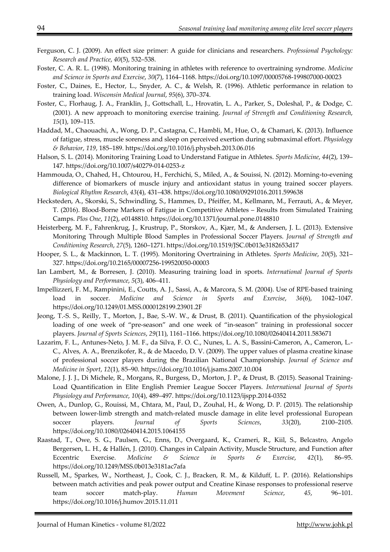- Ferguson, C. J. (2009). An effect size primer: A guide for clinicians and researchers. *Professional Psychology: Research and Practice*, *40*(5), 532–538.
- Foster, C. A. R. L. (1998). Monitoring training in athletes with reference to overtraining syndrome. *Medicine and Science in Sports and Exercise*, *30*(7), 1164–1168. https://doi.org/10.1097/00005768-199807000-00023
- Foster, C., Daines, E., Hector, L., Snyder, A. C., & Welsh, R. (1996). Athletic performance in relation to training load. *Wisconsin Medical Journal*, *95*(6), 370–374.
- Foster, C., Florhaug, J. A., Franklin, J., Gottschall, L., Hrovatin, L. A., Parker, S., Doleshal, P., & Dodge, C. (2001). A new approach to monitoring exercise training. *Journal of Strength and Conditioning Research*, *15*(1), 109–115.
- Haddad, M., Chaouachi, A., Wong, D. P., Castagna, C., Hambli, M., Hue, O., & Chamari, K. (2013). Influence of fatigue, stress, muscle soreness and sleep on perceived exertion during submaximal effort. *Physiology & Behavior*, *119*, 185–189. https://doi.org/10.1016/j.physbeh.2013.06.016
- Halson, S. L. (2014). Monitoring Training Load to Understand Fatigue in Athletes. *Sports Medicine*, *44*(2), 139– 147. https://doi.org/10.1007/s40279-014-0253-z
- Hammouda, O., Chahed, H., Chtourou, H., Ferchichi, S., Miled, A., & Souissi, N. (2012). Morning-to-evening difference of biomarkers of muscle injury and antioxidant status in young trained soccer players. *Biological Rhythm Research*, *43*(4), 431–438. https://doi.org/10.1080/09291016.2011.599638
- Hecksteden, A., Skorski, S., Schwindling, S., Hammes, D., Pfeiffer, M., Kellmann, M., Ferrauti, A., & Meyer, T. (2016). Blood-Borne Markers of Fatigue in Competitive Athletes – Results from Simulated Training Camps. *Plos One*, *11*(2), e0148810. https://doi.org/10.1371/journal.pone.0148810
- Heisterberg, M. F., Fahrenkrug, J., Krustrup, P., Storskov, A., Kjær, M., & Andersen, J. L. (2013). Extensive Monitoring Through Multiple Blood Samples in Professional Soccer Players. *Journal of Strength and Conditioning Research*, *27*(5), 1260–1271. https://doi.org/10.1519/JSC.0b013e3182653d17
- Hooper, S. L., & Mackinnon, L. T. (1995). Monitoring Overtraining in Athletes. *Sports Medicine*, *20*(5), 321– 327. https://doi.org/10.2165/00007256-199520050-00003
- Ian Lambert, M., & Borresen, J. (2010). Measuring training load in sports. *International Journal of Sports Physiology and Performance*, *5*(3), 406–411.
- Impellizzeri, F. M., Rampinini, E., Coutts, A. J., Sassi, A., & Marcora, S. M. (2004). Use of RPE-based training load in soccer. *Medicine and Science in Sports and Exercise*, *36*(6), 1042–1047. https://doi.org/10.1249/01.MSS.0000128199.23901.2F
- Jeong, T.-S. S., Reilly, T., Morton, J., Bae, S.-W. W., & Drust, B. (2011). Quantification of the physiological loading of one week of "pre-season" and one week of "in-season" training in professional soccer players. *Journal of Sports Sciences*, *29*(11), 1161–1166. https://doi.org/10.1080/02640414.2011.583671
- Lazarim, F. L., Antunes-Neto, J. M. F., da Silva, F. O. C., Nunes, L. A. S., Bassini-Cameron, A., Cameron, L.- C., Alves, A. A., Brenzikofer, R., & de Macedo, D. V. (2009). The upper values of plasma creatine kinase of professional soccer players during the Brazilian National Championship. *Journal of Science and Medicine in Sport*, *12*(1), 85–90. https://doi.org/10.1016/j.jsams.2007.10.004
- Malone, J. J. J., Di Michele, R., Morgans, R., Burgess, D., Morton, J. P., & Drust, B. (2015). Seasonal Training-Load Quantification in Elite English Premier League Soccer Players. *International Journal of Sports Physiology and Performance*, *10*(4), 489–497. https://doi.org/10.1123/ijspp.2014-0352
- Owen, A., Dunlop, G., Rouissi, M., Chtara, M., Paul, D., Zouhal, H., & Wong, D. P. (2015). The relationship between lower-limb strength and match-related muscle damage in elite level professional European soccer players. *Journal of Sports Sciences*, *33*(20), 2100–2105. https://doi.org/10.1080/02640414.2015.1064155
- Raastad, T., Owe, S. G., Paulsen, G., Enns, D., Overgaard, K., Crameri, R., Kiil, S., Belcastro, Angelo Bergersen, L. H., & Hallén, J. (2010). Changes in Calpain Activity, Muscle Structure, and Function after Eccentric Exercise. *Medicine & Science in Sports & Exercise*, *42*(1), 86–95. https://doi.org/10.1249/MSS.0b013e3181ac7afa
- Russell, M., Sparkes, W., Northeast, J., Cook, C. J., Bracken, R. M., & Kilduff, L. P. (2016). Relationships between match activities and peak power output and Creatine Kinase responses to professional reserve team soccer match-play. *Human Movement Science*, *45*, 96–101. https://doi.org/10.1016/j.humov.2015.11.011